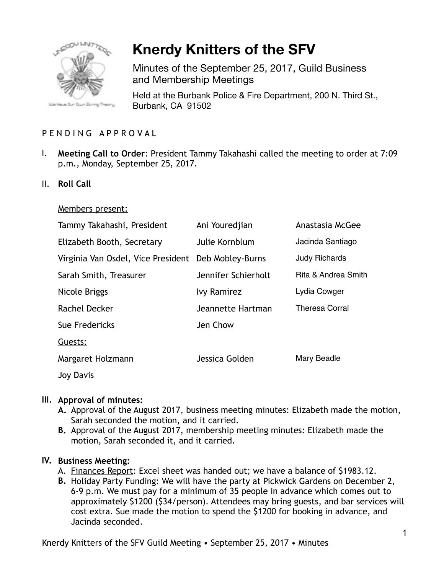

# **Knerdy Knitters of the SFV**

Minutes of the September 25, 2017, Guild Business and Membership Meetings

Held at the Burbank Police & Fire Department, 200 N. Third St., Burbank, CA 91502

## PENDING APPROVAL

- I. **Meeting Call to Order**: President Tammy Takahashi called the meeting to order at 7:09 p.m., Monday, September 25, 2017.
- II. **Roll Call**

#### Members present:

| Tammy Takahashi, President         | Ani Youredjian      | Anastasia McGee                |
|------------------------------------|---------------------|--------------------------------|
| Elizabeth Booth, Secretary         | Julie Kornblum      | Jacinda Santiago               |
| Virginia Van Osdel, Vice President | Deb Mobley-Burns    | <b>Judy Richards</b>           |
| Sarah Smith, Treasurer             | Jennifer Schierholt | <b>Rita &amp; Andrea Smith</b> |
| Nicole Briggs                      | <b>Ivy Ramirez</b>  | Lydia Cowger                   |
| Rachel Decker                      | Jeannette Hartman   | <b>Theresa Corral</b>          |
| Sue Fredericks                     | Jen Chow            |                                |
| Guests:                            |                     |                                |
| Margaret Holzmann                  | Jessica Golden      | Mary Beadle                    |
| <b>Joy Davis</b>                   |                     |                                |

#### **III. Approval of minutes:**

- **A.** Approval of the August 2017, business meeting minutes: Elizabeth made the motion, Sarah seconded the motion, and it carried.
- **B.** Approval of the August 2017, membership meeting minutes: Elizabeth made the motion, Sarah seconded it, and it carried.

#### **IV. Business Meeting:**

- A. Finances Report: Excel sheet was handed out; we have a balance of \$1983.12.
- **B.** Holiday Party Funding: We will have the party at Pickwick Gardens on December 2, 6-9 p.m. We must pay for a minimum of 35 people in advance which comes out to approximately \$1200 (\$34/person). Attendees may bring guests, and bar services will cost extra. Sue made the motion to spend the \$1200 for booking in advance, and Jacinda seconded.

Knerdy Knitters of the SFV Guild Meeting • September 25, 2017 • Minutes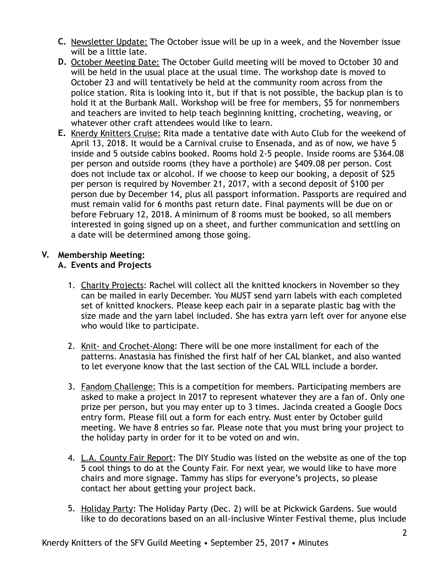- **C.** Newsletter Update: The October issue will be up in a week, and the November issue will be a little late.
- **D.** October Meeting Date: The October Guild meeting will be moved to October 30 and will be held in the usual place at the usual time. The workshop date is moved to October 23 and will tentatively be held at the community room across from the police station. Rita is looking into it, but if that is not possible, the backup plan is to hold it at the Burbank Mall. Workshop will be free for members, \$5 for nonmembers and teachers are invited to help teach beginning knitting, crocheting, weaving, or whatever other craft attendees would like to learn.
- **E.** Knerdy Knitters Cruise: Rita made a tentative date with Auto Club for the weekend of April 13, 2018. It would be a Carnival cruise to Ensenada, and as of now, we have 5 inside and 5 outside cabins booked. Rooms hold 2-5 people. Inside rooms are \$364.08 per person and outside rooms (they have a porthole) are \$409.08 per person. Cost does not include tax or alcohol. If we choose to keep our booking, a deposit of \$25 per person is required by November 21, 2017, with a second deposit of \$100 per person due by December 14, plus all passport information. Passports are required and must remain valid for 6 months past return date. Final payments will be due on or before February 12, 2018. A minimum of 8 rooms must be booked, so all members interested in going signed up on a sheet, and further communication and settling on a date will be determined among those going.

## **V. Membership Meeting:**

## **A. Events and Projects**

- 1. Charity Projects: Rachel will collect all the knitted knockers in November so they can be mailed in early December. You MUST send yarn labels with each completed set of knitted knockers. Please keep each pair in a separate plastic bag with the size made and the yarn label included. She has extra yarn left over for anyone else who would like to participate.
- 2. Knit- and Crochet-Along: There will be one more installment for each of the patterns. Anastasia has finished the first half of her CAL blanket, and also wanted to let everyone know that the last section of the CAL WILL include a border.
- 3. Fandom Challenge: This is a competition for members. Participating members are asked to make a project in 2017 to represent whatever they are a fan of. Only one prize per person, but you may enter up to 3 times. Jacinda created a Google Docs entry form. Please fill out a form for each entry. Must enter by October guild meeting. We have 8 entries so far. Please note that you must bring your project to the holiday party in order for it to be voted on and win.
- 4. L.A. County Fair Report: The DIY Studio was listed on the website as one of the top 5 cool things to do at the County Fair. For next year, we would like to have more chairs and more signage. Tammy has slips for everyone's projects, so please contact her about getting your project back.
- 5. Holiday Party: The Holiday Party (Dec. 2) will be at Pickwick Gardens. Sue would like to do decorations based on an all-inclusive Winter Festival theme, plus include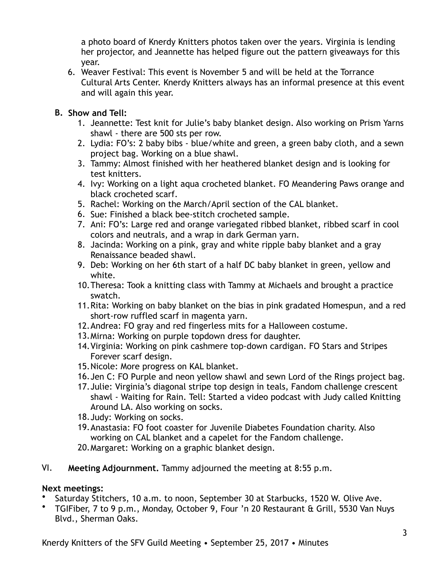a photo board of Knerdy Knitters photos taken over the years. Virginia is lending her projector, and Jeannette has helped figure out the pattern giveaways for this year.

6. Weaver Festival: This event is November 5 and will be held at the Torrance Cultural Arts Center. Knerdy Knitters always has an informal presence at this event and will again this year.

## **B. Show and Tell:**

- 1. Jeannette: Test knit for Julie's baby blanket design. Also working on Prism Yarns shawl - there are 500 sts per row.
- 2. Lydia: FO's: 2 baby bibs blue/white and green, a green baby cloth, and a sewn project bag. Working on a blue shawl.
- 3. Tammy: Almost finished with her heathered blanket design and is looking for test knitters.
- 4. Ivy: Working on a light aqua crocheted blanket. FO Meandering Paws orange and black crocheted scarf.
- 5. Rachel: Working on the March/April section of the CAL blanket.
- 6. Sue: Finished a black bee-stitch crocheted sample.
- 7. Ani: FO's: Large red and orange variegated ribbed blanket, ribbed scarf in cool colors and neutrals, and a wrap in dark German yarn.
- 8. Jacinda: Working on a pink, gray and white ripple baby blanket and a gray Renaissance beaded shawl.
- 9. Deb: Working on her 6th start of a half DC baby blanket in green, yellow and white.
- 10.Theresa: Took a knitting class with Tammy at Michaels and brought a practice swatch.
- 11.Rita: Working on baby blanket on the bias in pink gradated Homespun, and a red short-row ruffled scarf in magenta yarn.
- 12.Andrea: FO gray and red fingerless mits for a Halloween costume.
- 13.Mirna: Working on purple topdown dress for daughter.
- 14.Virginia: Working on pink cashmere top-down cardigan. FO Stars and Stripes Forever scarf design.
- 15.Nicole: More progress on KAL blanket.
- 16.Jen C: FO Purple and neon yellow shawl and sewn Lord of the Rings project bag.
- 17.Julie: Virginia's diagonal stripe top design in teals, Fandom challenge crescent shawl - Waiting for Rain. Tell: Started a video podcast with Judy called Knitting Around LA. Also working on socks.
- 18.Judy: Working on socks.
- 19.Anastasia: FO foot coaster for Juvenile Diabetes Foundation charity. Also working on CAL blanket and a capelet for the Fandom challenge.
- 20.Margaret: Working on a graphic blanket design.
- VI. **Meeting Adjournment.** Tammy adjourned the meeting at 8:55 p.m.

## **Next meetings:**

- Saturday Stitchers, 10 a.m. to noon, September 30 at Starbucks, 1520 W. Olive Ave.
- TGIFiber, 7 to 9 p.m., Monday, October 9, Four 'n 20 Restaurant & Grill, 5530 Van Nuys Blvd., Sherman Oaks.